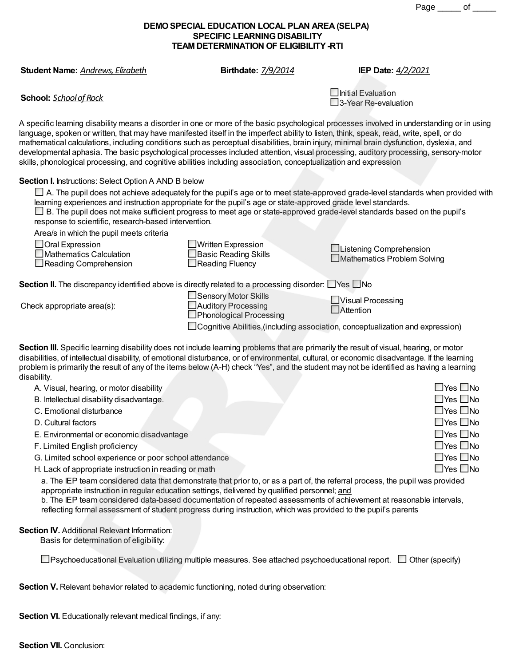Page \_\_\_\_\_ of \_\_\_\_\_

## **DEMOSPECIAL EDUCATION LOCAL PLAN AREA(SELPA) SPECIFIC LEARNING DISABILITY TEAM DETERMINATION OF ELIGIBILITY-RTI**

**Student Name:** *Andrews,Elizabeth* **Birthdate:** *7/9/2014* **IEP Date:** *4/2/2021*

**School:** *Schoolof Rock*

 $\Box$ Initial Evaluation □3-Year Re-evaluation

A specific learning disability means a disorder in one or more of the basic psychological processes involved in understanding or in using language, spoken or written, that may have manifested itself in the imperfect ability to listen, think, speak, read, write, spell, or do mathematical calculations, including conditions such as perceptual disabilities, brain injury, minimal brain dysfunction, dyslexia, and developmental aphasia. The basic psychological processes included attention, visual processing, auditory processing, sensory-motor skills, phonological processing, and cognitive abilities including association, conceptualization and expression

## **Section I.** Instructions: Select Option A AND B below

 $\Box$  A. The pupil does not achieve adequately for the pupil's age or to meet state-approved grade-level standards when provided with learning experiences and instruction appropriate for the pupil's age or state-approved grade level standards.

| $\Box$ B. The pupil does not make sufficient progress to meet age or state-approved grade-level standards based on the pupil's |  |
|--------------------------------------------------------------------------------------------------------------------------------|--|
| response to scientific, research-based intervention.                                                                           |  |

Area/s in which the pupil meets criteria

|  | $\triangle$ Oral Expression |
|--|-----------------------------|
|  |                             |

Mathematics Calculation Reading Comprehension

| $\Box$ Written Expression |
|---------------------------|
| Basic Reading Skills      |
| Reading Fluency           |

Listening Comprehension □Mathematics Problem Solving

**Section II.** The discrepancy identified above is directly related to a processing disorder:  $\Box$  Yes  $\Box$  No

Check appropriate area(s):

Sensory Motor Skills Auditory Processing **Phonological Processing** 

**UVisual Processing** □Attention

 $\Box$  Cognitive Abilities, (including association, conceptualization and expression)

**Section III.** Specific learning disability does not include learning problems that are primarily the result of visual, hearing, or motor disabilities, of intellectual disability, of emotional disturbance, or of environmental, cultural, or economic disadvantage. If the learning problem is primarily the result of any of the items below (A-H) check "Yes", and the student may not be identified as having a learning disability.

- A. Visual, hearing, or motor disability
- B. Intellectual disability disadvantage.
- C. Emotional disturbance
- D. Cultural factors
- E. Environmental or economic disadvantage
- F. Limited English proficiency
- G. Limited school experience or poor school attendance
- H. Lack of appropriate instruction in reading or math

a. The IEP team considered data that demonstrate that prior to, or as a part of, the referral process, the pupil was provided appropriate instruction in regular education settings, delivered by qualified personnel; and

b. The IEP team considered data-based documentation of repeated assessments of achievement at reasonable intervals, reflecting formal assessment of student progress during instruction, which was provided to the pupil's parents

## **Section IV.** Additional Relevant Information:

Basis for determination of eligibility:

 $\Box$ Psychoeducational Evaluation utilizing multiple measures. See attached psychoeducational report.  $\Box$  Other (specify)

**Section V.** Relevant behavior related to academic functioning, noted during observation:

**Section VI.** Educationally relevant medical findings, if any:

| $\square$ Yes $\square$ No |
|----------------------------|
| $\square$ Yes $\square$ No |
| $\Box$ Yes $\Box$ No       |
| $\square$ Yes $\square$ No |
| $\Box$ Yes $\Box$ No       |
| $\square$ Yes $\square$ No |
| $\square$ Yes $\square$ No |
| $\Box$ Yes $\Box$ No       |
|                            |